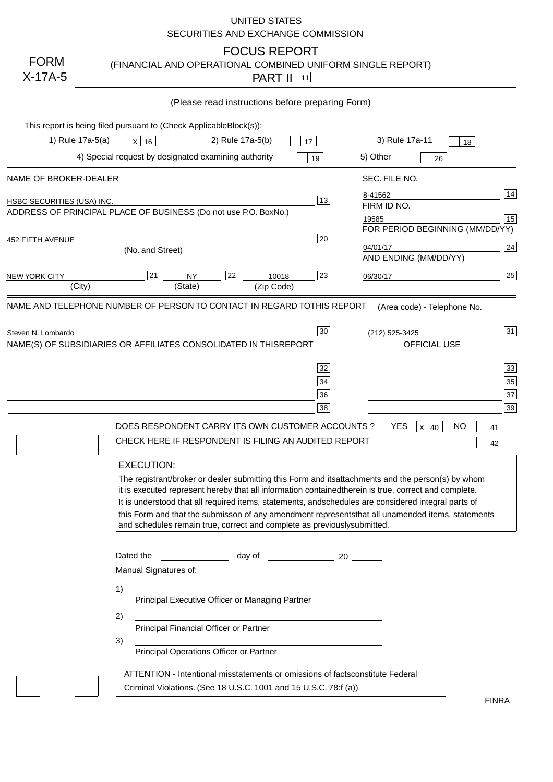|                                   | <b>UNITED STATES</b><br>SECURITIES AND EXCHANGE COMMISSION                                                                                                                                                                                                                                                                                                                                                                                                                                                                                                                                                                                                                                                                                                                                                                                                                                 |
|-----------------------------------|--------------------------------------------------------------------------------------------------------------------------------------------------------------------------------------------------------------------------------------------------------------------------------------------------------------------------------------------------------------------------------------------------------------------------------------------------------------------------------------------------------------------------------------------------------------------------------------------------------------------------------------------------------------------------------------------------------------------------------------------------------------------------------------------------------------------------------------------------------------------------------------------|
| <b>FORM</b><br>$X-17A-5$          | <b>FOCUS REPORT</b><br>(FINANCIAL AND OPERATIONAL COMBINED UNIFORM SINGLE REPORT)<br><b>PART II</b> 11                                                                                                                                                                                                                                                                                                                                                                                                                                                                                                                                                                                                                                                                                                                                                                                     |
|                                   | (Please read instructions before preparing Form)                                                                                                                                                                                                                                                                                                                                                                                                                                                                                                                                                                                                                                                                                                                                                                                                                                           |
|                                   | This report is being filed pursuant to (Check Applicable<br>$Block(s)$ :<br>3) Rule 17a-11<br>1) Rule 17a-5(a)<br>2) Rule 17a-5(b)<br>$X$ 16<br>17<br>18<br>4) Special request by designated examining authority<br>5) Other<br>19<br>26                                                                                                                                                                                                                                                                                                                                                                                                                                                                                                                                                                                                                                                   |
| NAME OF BROKER-DEALER             | SEC. FILE NO.                                                                                                                                                                                                                                                                                                                                                                                                                                                                                                                                                                                                                                                                                                                                                                                                                                                                              |
| <b>HSBC SECURITIES (USA) INC.</b> | 14<br>8-41562<br>13<br>FIRM ID NO.<br>ADDRESS OF PRINCIPAL PLACE OF BUSINESS (Do not use P.O. Box<br>No.)<br>15<br>19585<br>FOR PERIOD BEGINNING (MM/DD/YY)                                                                                                                                                                                                                                                                                                                                                                                                                                                                                                                                                                                                                                                                                                                                |
| <b>452 FIFTH AVENUE</b>           | 20<br>24<br>04/01/17<br>(No. and Street)<br>AND ENDING (MM/DD/YY)                                                                                                                                                                                                                                                                                                                                                                                                                                                                                                                                                                                                                                                                                                                                                                                                                          |
| <b>NEW YORK CITY</b>              | 25<br>22<br>21<br>23<br><b>NY</b><br>10018<br>06/30/17<br>(City)<br>(State)<br>(Zip Code)                                                                                                                                                                                                                                                                                                                                                                                                                                                                                                                                                                                                                                                                                                                                                                                                  |
|                                   | (212) 525-3425<br>NAME(S) OF SUBSIDIARIES OR AFFILIATES CONSOLIDATED IN THIS<br><b>REPORT</b><br><b>OFFICIAL USE</b><br>$\overline{33}$<br>32<br>35<br>34<br>37<br>36<br>39<br>38<br>DOES RESPONDENT CARRY ITS OWN CUSTOMER ACCOUNTS?<br><b>YES</b><br>$X$ 40<br><b>NO</b><br>41<br>CHECK HERE IF RESPONDENT IS FILING AN AUDITED REPORT<br>42<br><b>EXECUTION:</b><br>The registrant/broker or dealer submitting this Form and its<br>attachments and the person(s) by whom<br>it is executed represent hereby that all information contained<br>therein is true, correct and complete.<br>It is understood that all required items, statements, and<br>schedules are considered integral parts of<br>this Form and that the submisson of any amendment represents<br>that all unamended items, statements<br>and schedules remain true, correct and complete as previously<br>submitted. |
|                                   | Dated the<br>day of<br>20<br>Manual Signatures of:<br>1)<br>Principal Executive Officer or Managing Partner<br>2)<br>Principal Financial Officer or Partner<br>3)<br>Principal Operations Officer or Partner                                                                                                                                                                                                                                                                                                                                                                                                                                                                                                                                                                                                                                                                               |
|                                   | ATTENTION - Intentional misstatements or omissions of facts<br>constitute Federal<br>Criminal Violations. (See 18 U.S.C. 1001 and 15 U.S.C. 78:f (a)<br>$\lambda$<br><b>FINRA</b>                                                                                                                                                                                                                                                                                                                                                                                                                                                                                                                                                                                                                                                                                                          |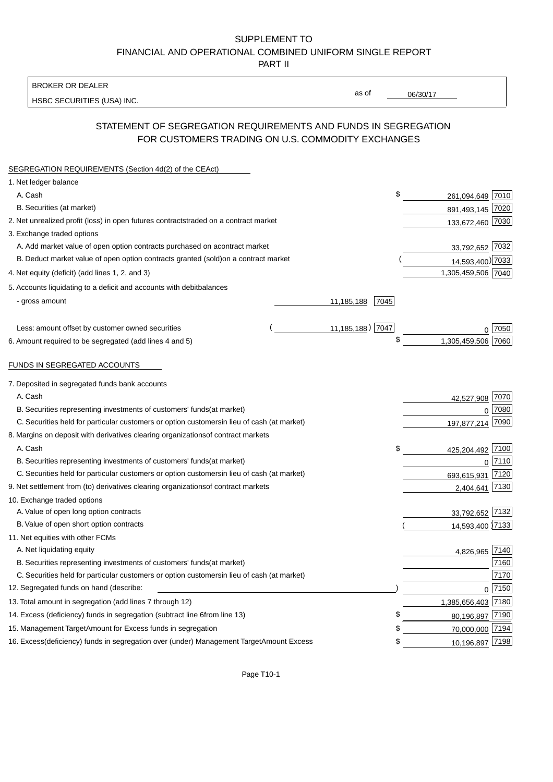BROKER OR DEALER

HSBC SECURITIES (USA) INC.

06/30/17

as of

## STATEMENT OF SEGREGATION REQUIREMENTS AND FUNDS IN SEGREGATION FOR CUSTOMERS TRADING ON U.S. COMMODITY EXCHANGES

| SEGREGATION REQUIREMENTS (Section 4d(2) of the CEAct)                                          |                    |                    |            |
|------------------------------------------------------------------------------------------------|--------------------|--------------------|------------|
| 1. Net ledger balance                                                                          |                    |                    |            |
| A. Cash                                                                                        | \$                 | 261,094,649 7010   |            |
| B. Securities (at market)                                                                      |                    | 891,493,145 7020   |            |
| 2. Net unrealized profit (loss) in open futures contracts<br>traded on a contract market       |                    | 133,672,460 7030   |            |
| 3. Exchange traded options                                                                     |                    |                    |            |
| A. Add market value of open option contracts purchased on a<br>contract market                 |                    | 33,792,652 7032    |            |
| B. Deduct market value of open option contracts granted (sold)<br>on a contract market         |                    | 14,593,400) 7033   |            |
| 4. Net equity (deficit) (add lines 1, 2, and 3)                                                |                    | 1,305,459,506 7040 |            |
| 5. Accounts liquidating to a deficit and accounts with debit<br>balances                       |                    |                    |            |
| - gross amount                                                                                 | 7045<br>11,185,188 |                    |            |
|                                                                                                |                    |                    |            |
| Less: amount offset by customer owned securities                                               | 11,185,188) 7047   |                    | ∩ 7050     |
| 6. Amount required to be segregated (add lines 4 and 5)                                        | \$                 | 1,305,459,506 7060 |            |
|                                                                                                |                    |                    |            |
| FUNDS IN SEGREGATED ACCOUNTS                                                                   |                    |                    |            |
| 7. Deposited in segregated funds bank accounts                                                 |                    |                    |            |
| A. Cash                                                                                        |                    | 42,527,908 7070    |            |
| B. Securities representing investments of customers' funds<br>(at market)                      |                    | $\Omega$           | 7080       |
| C. Securities held for particular customers or option customers<br>in lieu of cash (at market) |                    | 197,877,214        | 7090       |
| 8. Margins on deposit with derivatives clearing organizations<br>of contract markets           |                    |                    |            |
| A. Cash                                                                                        | \$                 | 425,204,492 7100   |            |
| B. Securities representing investments of customers' funds<br>(at market)                      |                    |                    | $0^{7110}$ |
| C. Securities held for particular customers or option customers<br>in lieu of cash (at market) |                    | 693,615,931        | 7120       |
| 9. Net settlement from (to) derivatives clearing organizations<br>of contract markets          |                    | 2,404,641          | 7130       |
| 10. Exchange traded options                                                                    |                    |                    |            |
| A. Value of open long option contracts                                                         |                    | 33,792,652 7132    |            |
| B. Value of open short option contracts                                                        |                    | 14,593,400 7133    |            |
| 11. Net equities with other FCMs                                                               |                    |                    |            |
| A. Net liquidating equity                                                                      |                    | 4,826,965 7140     |            |
| B. Securities representing investments of customers' funds<br>(at market)                      |                    |                    | 7160       |
| C. Securities held for particular customers or option customers<br>in lieu of cash (at market) |                    |                    | 7170       |
| 12. Segregated funds on hand (describe:                                                        |                    |                    | $0$ 7150   |
| 13. Total amount in segregation (add lines 7 through 12)                                       |                    | 1,385,656,403 7180 |            |
| 14. Excess (deficiency) funds in segregation (subtract line 6 from line 13)                    | \$.                | 80,196,897 7190    |            |
| 15. Management Target Amount for Excess funds in segregation                                   | £                  | 70,000,000 7194    |            |
| 16. Excess (deficiency) funds in segregation over (under) Management Target Amount Excess      | \$                 | 10,196,897 7198    |            |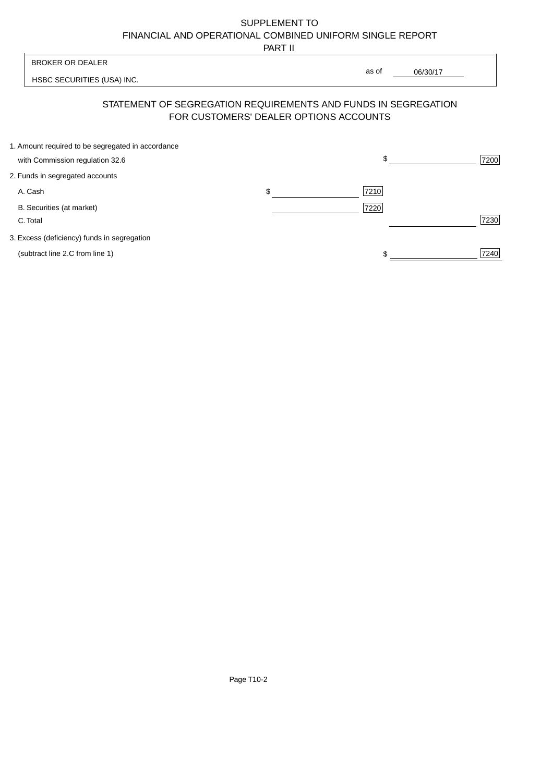PART II

|                                                   | 1 AB 11                                |                                                                |      |
|---------------------------------------------------|----------------------------------------|----------------------------------------------------------------|------|
| <b>BROKER OR DEALER</b>                           |                                        | as of                                                          |      |
| HSBC SECURITIES (USA) INC.                        |                                        | 06/30/17                                                       |      |
|                                                   | FOR CUSTOMERS' DEALER OPTIONS ACCOUNTS | STATEMENT OF SEGREGATION REQUIREMENTS AND FUNDS IN SEGREGATION |      |
| 1. Amount required to be segregated in accordance |                                        |                                                                |      |
| with Commission regulation 32.6                   |                                        | \$                                                             | 7200 |
| 2. Funds in segregated accounts                   |                                        |                                                                |      |
| A. Cash                                           | \$                                     | 7210                                                           |      |
| B. Securities (at market)                         |                                        | 7220                                                           |      |
| C. Total                                          |                                        |                                                                | 7230 |
| 3. Excess (deficiency) funds in segregation       |                                        |                                                                |      |
| (subtract line 2.C from line 1)                   |                                        |                                                                | 7240 |
|                                                   |                                        |                                                                |      |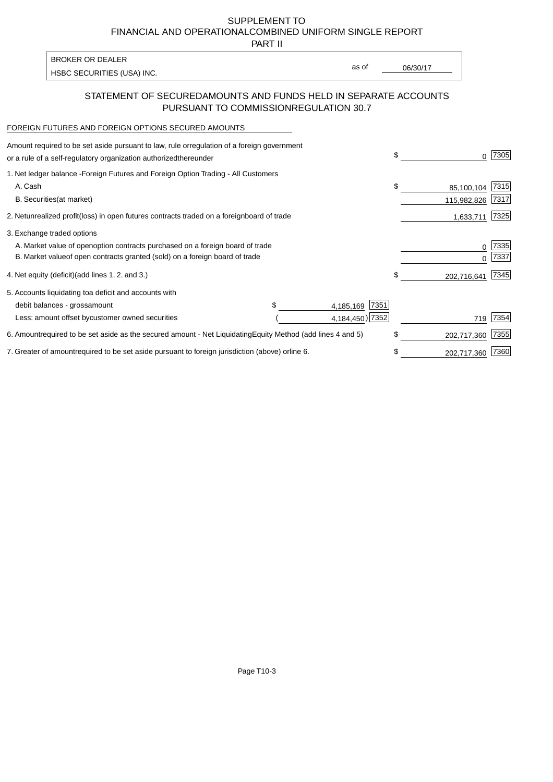PART II

HSBC SECURITIES (USA) INC. The second of the second of the second of the second of the second of the second of the second of the second of the second of the second of the second of the second of the second of the second of BROKER OR DEALER

as of

### STATEMENT OF SECURED AMOUNTS AND FUNDS HELD IN SEPARATE ACCOUNTS PURSUANT TO COMMISSION REGULATION 30.7

#### FOREIGN FUTURES AND FOREIGN OPTIONS SECURED AMOUNTS

| regulation of a foreign government<br>Amount required to be set aside pursuant to law, rule or<br>or a rule of a self-regulatory organization authorized<br>thereunder                       |                                   |                                      | \$ |                           | 7305         |
|----------------------------------------------------------------------------------------------------------------------------------------------------------------------------------------------|-----------------------------------|--------------------------------------|----|---------------------------|--------------|
| 1. Net ledger balance - Foreign Futures and Foreign Option Trading - All Customers<br>A. Cash<br><b>B.</b> Securities<br>(at market)                                                         |                                   |                                      | \$ | 85,100,104<br>115,982,826 | 7315<br>7317 |
| unrealized profit (loss) in open futures contracts traded on a foreign<br>2. Net                                                                                                             | board of trade                    |                                      |    | 1,633,711                 | 7325         |
| 3. Exchange traded options<br>A. Market value of open option contracts purchased on a foreign board of trade<br>B. Market value of open contracts granted (sold) on a foreign board of trade |                                   |                                      |    | $\Omega$                  | 7335<br>7337 |
| (add lines 1.2. and 3.)<br>4. Net equity (deficit)                                                                                                                                           |                                   |                                      | \$ | 202,716,641               | 7345         |
| 5. Accounts liquidating to<br>a deficit and accounts with<br>debit balances - gross<br>amount<br>Less: amount offset by<br>customer owned securities                                         |                                   | 7351<br>4,185,169<br>4,184,450) 7352 |    | 719                       | 7354         |
| 6. Amount required to be set aside as the secured amount - Net Liquidating                                                                                                                   | Equity Method (add lines 4 and 5) |                                      | \$ | 202,717,360               | 7355         |
| 7. Greater of amount required to be set aside pursuant to foreign jurisdiction (above) or line 6.                                                                                            |                                   |                                      | S  | 202,717,360               | 7360         |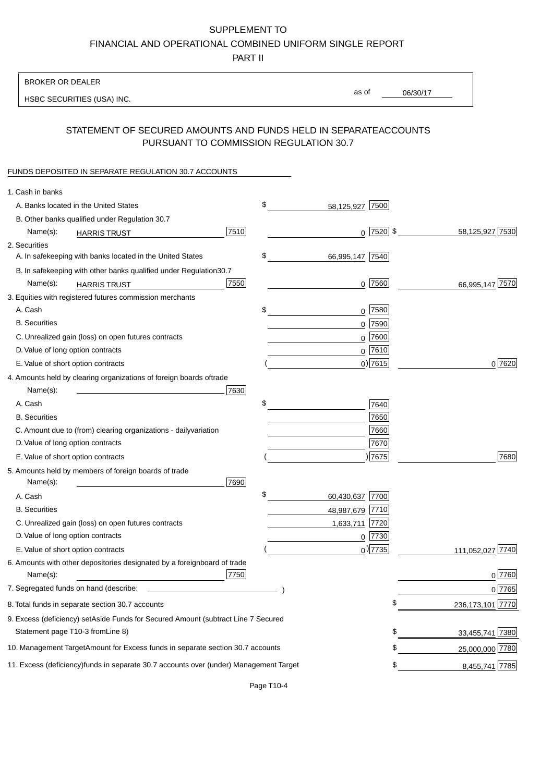PART II

| <b>BROKER OR DEALER</b>                                                                           |                       |             |                 |                    |
|---------------------------------------------------------------------------------------------------|-----------------------|-------------|-----------------|--------------------|
| HSBC SECURITIES (USA) INC.                                                                        | as of                 |             | 06/30/17        |                    |
| STATEMENT OF SECURED AMOUNTS AND FUNDS HELD IN SEPARATE<br>PURSUANT TO COMMISSION REGULATION 30.7 |                       |             | <b>ACCOUNTS</b> |                    |
| FUNDS DEPOSITED IN SEPARATE REGULATION 30.7 ACCOUNTS                                              |                       |             |                 |                    |
| 1. Cash in banks                                                                                  |                       |             |                 |                    |
| A. Banks located in the United States                                                             | \$<br>58,125,927      | 7500        |                 |                    |
| B. Other banks qualified under Regulation 30.7                                                    |                       |             |                 |                    |
| 7510<br>Name(s):<br><b>HARRIS TRUST</b>                                                           |                       | $0$ 7520 \$ |                 | 58,125,927 7530    |
| 2. Securities                                                                                     |                       |             |                 |                    |
| A. In safekeeping with banks located in the United States                                         | \$<br>66,995,147 7540 |             |                 |                    |
| B. In safekeeping with other banks qualified under Regulation<br>30.7                             |                       |             |                 |                    |
| 7550<br>Name(s):<br><b>HARRIS TRUST</b>                                                           |                       | 0 7560      |                 | 66,995,147 7570    |
| 3. Equities with registered futures commission merchants                                          |                       |             |                 |                    |
| A. Cash                                                                                           | \$                    | $0$ 7580    |                 |                    |
| <b>B.</b> Securities                                                                              |                       | $0$ 7590    |                 |                    |
| C. Unrealized gain (loss) on open futures contracts                                               |                       | $0$ 7600    |                 |                    |
| D. Value of long option contracts                                                                 |                       | $0^{7610}$  |                 |                    |
| E. Value of short option contracts                                                                |                       | $0$ ) 7615  |                 | 0 7620             |
| 4. Amounts held by clearing organizations of foreign boards of<br>trade                           |                       |             |                 |                    |
| Name(s):<br>7630                                                                                  |                       |             |                 |                    |
| A. Cash                                                                                           | \$                    | 7640        |                 |                    |
| <b>B.</b> Securities                                                                              |                       | 7650        |                 |                    |
| C. Amount due to (from) clearing organizations - daily<br>variation                               |                       | 7660        |                 |                    |
| D. Value of long option contracts                                                                 |                       | 7670        |                 |                    |
| E. Value of short option contracts                                                                |                       | )7675       |                 | 7680               |
| 5. Amounts held by members of foreign boards of trade<br>Name(s):<br>7690                         |                       |             |                 |                    |
| A. Cash                                                                                           | \$<br>60,430,637 7700 |             |                 |                    |
| <b>B.</b> Securities                                                                              | 48,987,679 7710       |             |                 |                    |
| C. Unrealized gain (loss) on open futures contracts                                               | 1,633,711 7720        |             |                 |                    |
| D. Value of long option contracts                                                                 |                       | $0$ 7730    |                 |                    |
| E. Value of short option contracts                                                                |                       | $0$ ) 7735  |                 | 111,052,027 7740   |
| 6. Amounts with other depositories designated by a foreign<br>board of trade<br>7750<br>Name(s):  |                       |             |                 | 0 7760             |
| 7. Segregated funds on hand (describe:                                                            |                       |             |                 | 0 7765             |
| 8. Total funds in separate section 30.7 accounts                                                  |                       | \$          |                 | 236, 173, 101 7770 |
| 9. Excess (deficiency) set Aside Funds for Secured Amount (subtract Line 7 Secured                |                       |             |                 |                    |
| Statement page T10-3 from Line 8)                                                                 |                       | \$          |                 | 33,455,741 7380    |
| 10. Management Target Amount for Excess funds in separate section 30.7 accounts                   |                       | \$          |                 | 25,000,000 7780    |
| 11. Excess (deficiency) funds in separate 30.7 accounts over (under) Management Target            |                       | \$          |                 | 8,455,741 7785     |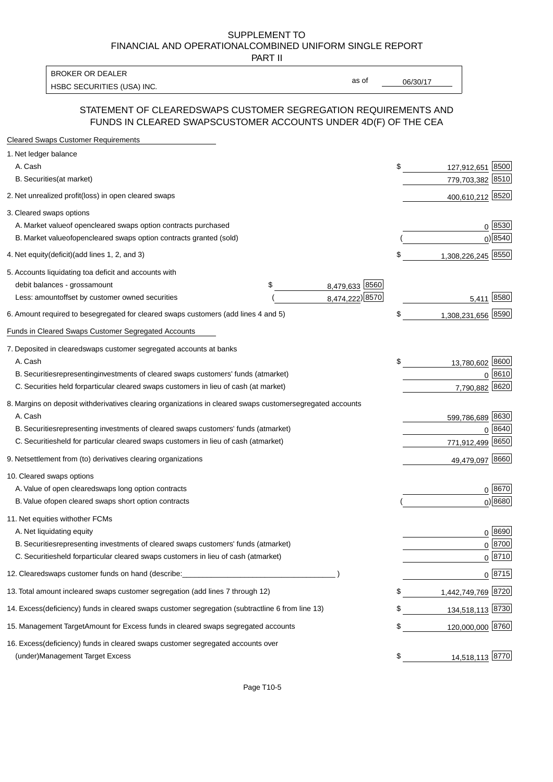PART II

HSBC SECURITIES (USA) INC. The contract of the contract of the contract of the contract of the contract of the contract of the contract of the contract of the contract of the contract of the contract of the contract of the BROKER OR DEALER

as of

#### STATEMENT OF CLEARED SWAPS CUSTOMER SEGREGATION REQUIREMENTS AND FUNDS IN CLEARED SWAPS CUSTOMER ACCOUNTS UNDER 4D(F) OF THE CEA

| <b>Cleared Swaps Customer Requirements</b>                                                                  |    |                    |                    |
|-------------------------------------------------------------------------------------------------------------|----|--------------------|--------------------|
| 1. Net ledger balance                                                                                       |    |                    |                    |
| A. Cash                                                                                                     | \$ | 127,912,651        | 8500               |
| B. Securities (at market)                                                                                   |    | 779,703,382 8510   |                    |
| 2. Net unrealized profit (loss) in open cleared swaps                                                       |    | 400,610,212 8520   |                    |
| 3. Cleared swaps options                                                                                    |    |                    |                    |
| A. Market value of open cleared swaps option contracts purchased                                            |    |                    | 0   8530           |
| B. Market value of open cleared swaps option contracts granted (sold)                                       |    |                    | $0)$ 8540          |
| 4. Net equity (deficit) (add lines 1, 2, and 3)                                                             | \$ | 1,308,226,245 8550 |                    |
| 5. Accounts liquidating to a deficit and accounts with                                                      |    |                    |                    |
| 8,479,633 8560<br>debit balances - gross amount<br>\$                                                       |    |                    |                    |
| 8,474,222) 8570<br>Less: amount offset by customer owned securities                                         |    | 5,411 8580         |                    |
| 6. Amount required to be segregated for cleared swaps customers (add lines 4 and 5)                         | \$ | 1,308,231,656 8590 |                    |
| Funds in Cleared Swaps Customer Segregated Accounts                                                         |    |                    |                    |
| 7. Deposited in cleared swaps customer segregated accounts at banks                                         |    |                    |                    |
| A. Cash                                                                                                     | \$ | 13,780,602 8600    |                    |
| B. Securities representing investments of cleared swaps customers' funds (at market)                        |    |                    | $0^{8610}$         |
| C. Securities held for particular cleared swaps customers in lieu of cash (at market)                       |    | 7,790,882 8620     |                    |
| 8. Margins on deposit with derivatives clearing organizations in cleared swaps customer segregated accounts |    |                    |                    |
| A. Cash                                                                                                     |    | 599,786,689 8630   |                    |
| B. Securities representing investments of cleared swaps customers' funds (at market)                        |    | 0                  | 8640               |
| C. Securities<br>held for particular cleared swaps customers in lieu of cash (at market)                    |    | 771,912,499 8650   |                    |
| 9. Net settlement from (to) derivatives clearing organizations                                              |    | 49,479,097 8660    |                    |
| 10. Cleared swaps options                                                                                   |    |                    |                    |
| A. Value of open cleared swaps long option contracts                                                        |    |                    | $0^{8670}$         |
| B. Value of open cleared swaps short option contracts                                                       |    |                    | $0$ ) 8680         |
| 11. Net equities with other FCMs                                                                            |    |                    |                    |
| A. Net liquidating equity                                                                                   |    |                    | $0^{8690}$         |
| B. Securities representing investments of cleared swaps customers' funds (at market)                        |    |                    | $0 \frac{8700}{ }$ |
| C. Securities held for particular cleared swaps customers in lieu of cash (at market)                       |    |                    | 0 8710             |
| 12. Cleared swaps customer funds on hand (describe:                                                         |    |                    | $0 \;  8715 $      |
| 13. Total amount in cleared swaps customer segregation (add lines 7 through 12)                             | S  | 1,442,749,769 8720 |                    |
| 14. Excess (deficiency) funds in cleared swaps customer segregation (subtract line 6 from line 13)          |    | 134,518,113 8730   |                    |
| 15. Management Target Amount for Excess funds in cleared swaps segregated accounts                          | \$ | 120,000,000 8760   |                    |
| 16. Excess<br>(deficiency) funds in cleared swaps customer segregated accounts over                         |    |                    |                    |
| <b>Management Target Excess</b><br>(under)                                                                  | \$ | 14,518,113 8770    |                    |